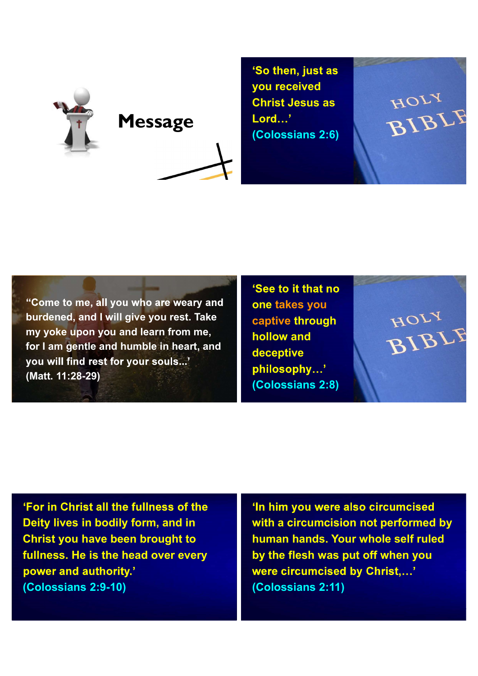



'So then, just as you received<br>
Christ Jesus as<br>
Lord...'<br>
(Colossians 2:6)<br>
BIBI Christ Jesus as (Colossians 2:6)

"Come to me, all you who are weary and burdened, and I will give you rest. Take my yoke upon you and learn from me, for I am gentle and humble in heart, and you will find rest for your souls...' (Matt. 11:28-29)

'See to it that no one takes you<br>
captive through<br>
hollow and<br>
decentive captive through hollow and deceptive philosophy...' (Colossians 2:8)

'For in Christ all the fullness of the Deity lives in bodily form, and in Christ you have been brought to fullness. He is the head over every power and authority.' (Colossians 2:9-10)

'In him you were also circumcised with a circumcision not performed by human hands. Your whole self ruled by the flesh was put off when you were circumcised by Christ....' (Colossians 2:11)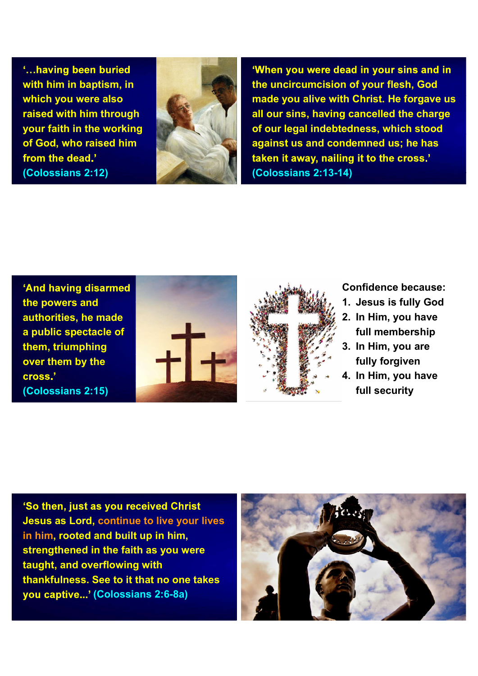'...having been buried with him in baptism, in which you were also raised with him through your faith in the working of God, who raised him from the dead.' (Colossians 2:12)



'When you were dead in your sins and in the uncircumcision of your flesh, God th Christ. He forgave us<br>g cancelled the charge<br>edness, which stood<br>ndemned us; he has<br>ng it to the cross.'<br>4)<br>(2)<br>Confidence because:<br>1. Jesus is fully God<br>2. In Him, you have<br>full membership<br>3. In Him, you are made you alive with Christ. He forgave us g cancelled the charge<br>
edness, which stood<br>
ndemned us; he has<br>
ng it to the cross.'<br>
4)<br>
Confidence because:<br>
1. Jesus is fully God<br>
2. In Him, you have<br>
full membership<br>
3. In Him, you are<br>
fully forgiven all our sins, having cancelled the charge of our legal indebtedness, which stood ng it to the cross.'<br>
1. Jesus is fully God<br>
2. In Him, you have<br>
1. Jesus is fully God<br>
2. In Him, you have<br>
full membership<br>
3. In Him, you are<br>
fully forgiven<br>
4. In Him, you have<br>
full security against us and condemned us; he has (Colossians 2:13-14)

'And having disarmed the powers and authorities, he made a public spectacle of<br>them, triumphing<br>over them by the<br>cross.' them, triumphing over them by the cross.' (Colossians 2:15)





## Confidence because:

- 
- full membership
- fully forgiven
- 4)<br>Confidence because:<br>1. Jesus is fully God<br>2. In Him, you have<br>full membership<br>3. In Him, you are<br>fully forgiven<br>4. In Him, you have<br>full security full security

'So then, just as you received Christ Jesus as Lord, continue to live your lives in him, rooted and built up in him, strengthened in the faith as you were taught, and overflowing with thankfulness. See to it that no one takes you captive...' (Colossians 2:6-8a)